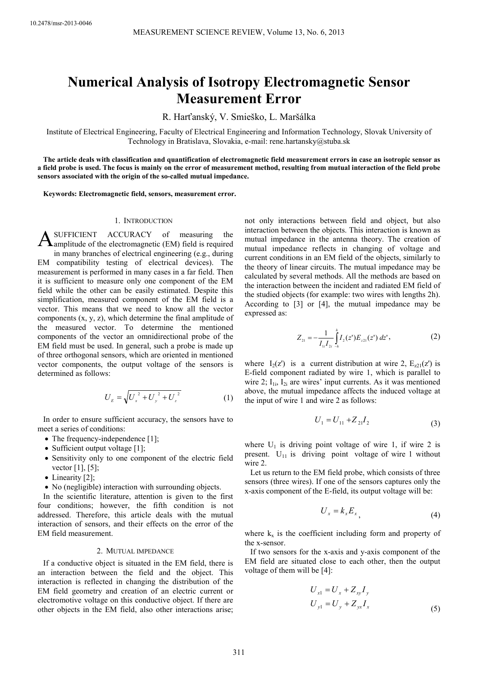# **Numerical Analysis of Isotropy Electromagnetic Sensor Measurement Error**

R. Harťanský, V. Smieško, L. Maršálka

Institute of Electrical Engineering, Faculty of Electrical Engineering and Information Technology, Slovak University of Technology in Bratislava, Slovakia, e-mail: rene.hartansky@stuba.sk

**The article deals with classification and quantification of electromagnetic field measurement errors in case an isotropic sensor as a field probe is used. The focus is mainly on the error of measurement method, resulting from mutual interaction of the field probe sensors associated with the origin of the so-called mutual impedance.** 

**Keywords: Electromagnetic field, sensors, measurement error.** 

#### 1. INTRODUCTION

SUFFICIENT ACCURACY of measuring the **A**SUFFICIENT ACCURACY of measuring the amplitude of the electromagnetic (EM) field is required in many branches of electrical engineering (e.g., during EM compatibility testing of electrical devices). The measurement is performed in many cases in a far field. Then it is sufficient to measure only one component of the EM field while the other can be easily estimated. Despite this simplification, measured component of the EM field is a vector. This means that we need to know all the vector components (x, y, z), which determine the final amplitude of the measured vector. To determine the mentioned components of the vector an omnidirectional probe of the EM field must be used. In general, such a probe is made up of three orthogonal sensors, which are oriented in mentioned vector components, the output voltage of the sensors is determined as follows:

$$
U_{E} = \sqrt{U_{x}^{2} + U_{y}^{2} + U_{z}^{2}}
$$
 (1)

In order to ensure sufficient accuracy, the sensors have to meet a series of conditions:

- The frequency-independence [1];
- Sufficient output voltage [1];
- Sensitivity only to one component of the electric field vector [1], [5];
- Linearity [2];
- No (negligible) interaction with surrounding objects.

In the scientific literature, attention is given to the first four conditions; however, the fifth condition is not addressed. Therefore, this article deals with the mutual interaction of sensors, and their effects on the error of the EM field measurement.

## 2. MUTUAL IMPEDANCE

If a conductive object is situated in the EM field, there is an interaction between the field and the object. This interaction is reflected in changing the distribution of the EM field geometry and creation of an electric current or electromotive voltage on this conductive object. If there are other objects in the EM field, also other interactions arise;

not only interactions between field and object, but also interaction between the objects. This interaction is known as mutual impedance in the antenna theory. The creation of mutual impedance reflects in changing of voltage and current conditions in an EM field of the objects, similarly to the theory of linear circuits. The mutual impedance may be calculated by several methods. All the methods are based on the interaction between the incident and radiated EM field of the studied objects (for example: two wires with lengths 2h). According to [3] or [4], the mutual impedance may be expressed as:

$$
Z_{21} = -\frac{1}{I_{11}I_{21}} \int_{-h}^{h} I_2(z^*) E_{z21}(z^*) dz^*,
$$
 (2)

where  $I_2(z)$  is a current distribution at wire 2,  $E_{z21}(z)$  is E-field component radiated by wire 1, which is parallel to wire 2;  $I_{1i}$ ,  $I_{2i}$  are wires' input currents. As it was mentioned above, the mutual impedance affects the induced voltage at the input of wire 1 and wire 2 as follows:

$$
U_1 = U_{11} + Z_{21}I_2 \tag{3}
$$

where  $U_1$  is driving point voltage of wire 1, if wire 2 is present.  $U_{11}$  is driving point voltage of wire 1 without wire 2.

Let us return to the EM field probe, which consists of three sensors (three wires). If one of the sensors captures only the x-axis component of the E-field, its output voltage will be:

$$
U_x = k_x E_x \tag{4}
$$

where  $k_x$  is the coefficient including form and property of the x-sensor.

If two sensors for the x-axis and y-axis component of the EM field are situated close to each other, then the output voltage of them will be [4]:

$$
U_{x1} = U_x + Z_{xy} I_y
$$
  
\n
$$
U_{y1} = U_y + Z_{yx} I_x
$$
\n(5)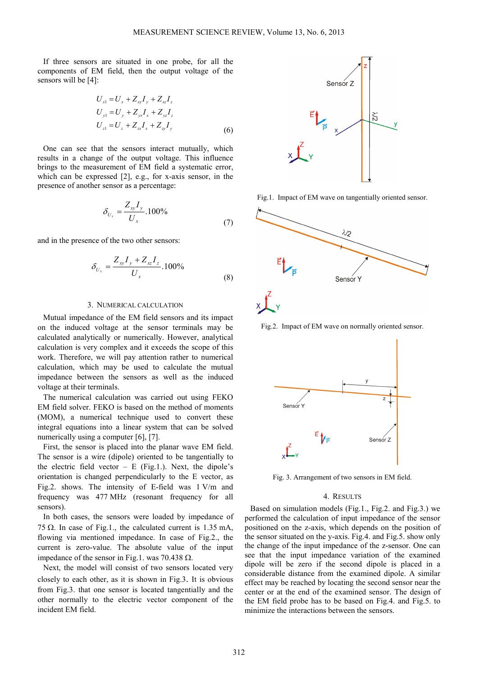If three sensors are situated in one probe, for all the components of EM field, then the output voltage of the sensors will be [4]:

$$
U_{x1} = U_x + Z_{xy}I_y + Z_{xz}I_z
$$
  
\n
$$
U_{y1} = U_y + Z_{yx}I_x + Z_{yz}I_z
$$
  
\n
$$
U_{z1} = U_z + Z_{zx}I_x + Z_{zy}I_y
$$
\n(6)

One can see that the sensors interact mutually, which results in a change of the output voltage. This influence brings to the measurement of EM field a systematic error, which can be expressed [2], e.g., for x-axis sensor, in the presence of another sensor as a percentage:

$$
\delta_{U_x} = \frac{Z_{xy} I_y}{U_x} .100\% \tag{7}
$$

and in the presence of the two other sensors:

$$
\delta_{U_x} = \frac{Z_{xy}I_y + Z_{xz}I_z}{U_x} .100\%
$$
\n(8)

## 3. NUMERICAL CALCULATION

Mutual impedance of the EM field sensors and its impact on the induced voltage at the sensor terminals may be calculated analytically or numerically. However, analytical calculation is very complex and it exceeds the scope of this work. Therefore, we will pay attention rather to numerical calculation, which may be used to calculate the mutual impedance between the sensors as well as the induced voltage at their terminals.

The numerical calculation was carried out using FEKO EM field solver. FEKO is based on the method of moments (MOM), a numerical technique used to convert these integral equations into a linear system that can be solved numerically using a computer [6], [7].

First, the sensor is placed into the planar wave EM field. The sensor is a wire (dipole) oriented to be tangentially to the electric field vector  $- E$  (Fig.1.). Next, the dipole's orientation is changed perpendicularly to the E vector, as Fig.2. shows. The intensity of E-field was 1 V/m and frequency was 477 MHz (resonant frequency for all sensors).

In both cases, the sensors were loaded by impedance of 75 Ω. In case of Fig.1., the calculated current is  $1.35$  mA, flowing via mentioned impedance. In case of Fig.2., the current is zero-value. The absolute value of the input impedance of the sensor in Fig.1. was 70.438 Ω.

Next, the model will consist of two sensors located very closely to each other, as it is shown in Fig.3. It is obvious from Fig.3. that one sensor is located tangentially and the other normally to the electric vector component of the incident EM field.



Fig.1. Impact of EM wave on tangentially oriented sensor.



Fig.2. Impact of EM wave on normally oriented sensor.



Fig. 3. Arrangement of two sensors in EM field.

# 4. RESULTS

Based on simulation models (Fig.1., Fig.2. and Fig.3.) we performed the calculation of input impedance of the sensor positioned on the z-axis, which depends on the position of the sensor situated on the y-axis. Fig.4. and Fig.5. show only the change of the input impedance of the z-sensor. One can see that the input impedance variation of the examined dipole will be zero if the second dipole is placed in a considerable distance from the examined dipole. A similar effect may be reached by locating the second sensor near the center or at the end of the examined sensor. The design of the EM field probe has to be based on Fig.4. and Fig.5. to minimize the interactions between the sensors.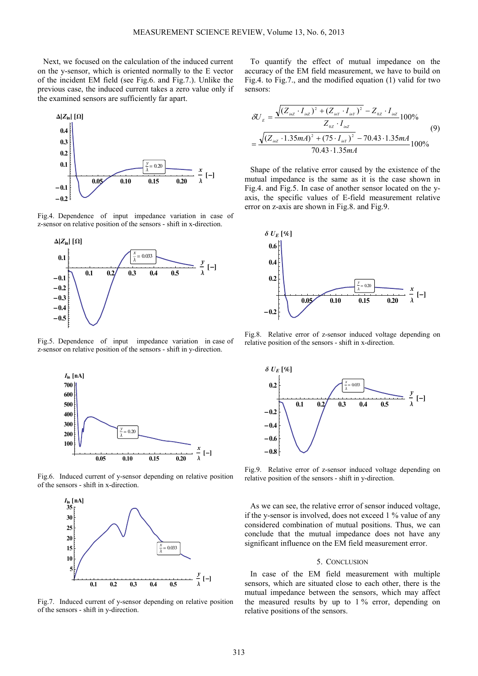Next, we focused on the calculation of the induced current on the y-sensor, which is oriented normally to the E vector of the incident EM field (see Fig.6. and Fig.7.). Unlike the previous case, the induced current takes a zero value only if the examined sensors are sufficiently far apart.



Fig.4. Dependence of input impedance variation in case of z-sensor on relative position of the sensors - shift in x-direction.



Fig.5. Dependence of input impedance variation in case of z-sensor on relative position of the sensors - shift in y-direction.



Fig.6. Induced current of y-sensor depending on relative position of the sensors - shift in x-direction.



Fig.7. Induced current of y-sensor depending on relative position of the sensors - shift in y-direction.

To quantify the effect of mutual impedance on the accuracy of the EM field measurement, we have to build on Fig.4. to Fig.7., and the modified equation (1) valid for two sensors:

$$
\delta U_{E} = \frac{\sqrt{(Z_{inZ} \cdot I_{inZ})^2 + (Z_{inY} \cdot I_{inY})^2 - Z_{0Z} \cdot I_{inZ}} 100\%}{Z_{0Z} \cdot I_{inZ}}
$$
\n
$$
= \frac{\sqrt{(Z_{inZ} \cdot 1.35mA)^2 + (75 \cdot I_{inY})^2 - 70.43 \cdot 1.35mA}}{70.43 \cdot 1.35mA}
$$
\n(9)

Shape of the relative error caused by the existence of the mutual impedance is the same as it is the case shown in Fig.4. and Fig.5. In case of another sensor located on the yaxis, the specific values of E-field measurement relative error on z-axis are shown in Fig.8. and Fig.9.



Fig.8. Relative error of z-sensor induced voltage depending on relative position of the sensors - shift in x-direction.



Fig.9. Relative error of z-sensor induced voltage depending on relative position of the sensors - shift in y-direction.

As we can see, the relative error of sensor induced voltage, if the y-sensor is involved, does not exceed 1 % value of any considered combination of mutual positions. Thus, we can conclude that the mutual impedance does not have any significant influence on the EM field measurement error.

#### 5. CONCLUSION

In case of the EM field measurement with multiple sensors, which are situated close to each other, there is the mutual impedance between the sensors, which may affect the measured results by up to  $1\%$  error, depending on relative positions of the sensors.